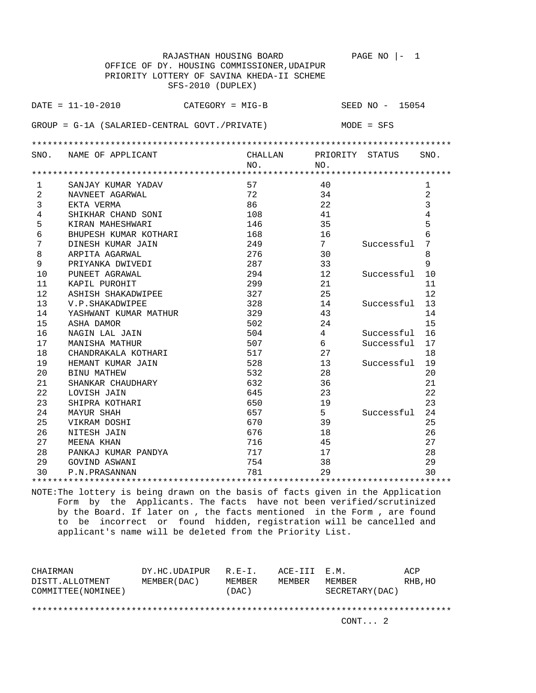|                                             | RAJASTHAN HOUSING BOARD                          |         |                 | PAGE NO<br>1    |                |  |  |  |
|---------------------------------------------|--------------------------------------------------|---------|-----------------|-----------------|----------------|--|--|--|
| OFFICE OF DY. HOUSING COMMISSIONER, UDAIPUR |                                                  |         |                 |                 |                |  |  |  |
|                                             | PRIORITY LOTTERY OF SAVINA KHEDA-II SCHEME       |         |                 |                 |                |  |  |  |
|                                             | SFS-2010 (DUPLEX)                                |         |                 |                 |                |  |  |  |
|                                             |                                                  |         |                 |                 |                |  |  |  |
|                                             | $DATA = 11 - 10 - 2010$<br>$CATEGORY = MIG-B$    |         |                 | SEED NO - 15054 |                |  |  |  |
|                                             |                                                  |         |                 |                 |                |  |  |  |
|                                             | $GROUP = G-1A (SALARIED-CENTRAL GOUT./PREIVATE)$ |         |                 | $MODE = SFS$    |                |  |  |  |
|                                             |                                                  |         |                 |                 |                |  |  |  |
|                                             |                                                  |         |                 |                 |                |  |  |  |
| SNO.                                        | NAME OF APPLICANT                                | CHALLAN | PRIORITY STATUS |                 | SNO.           |  |  |  |
|                                             |                                                  | NO.     | NO.             |                 |                |  |  |  |
|                                             |                                                  |         |                 |                 |                |  |  |  |
| $\mathbf{1}$                                | SANJAY KUMAR YADAV                               | 57      | 40              |                 | $\mathbf{1}$   |  |  |  |
| 2                                           | NAVNEET AGARWAL                                  | 72      | 34              |                 | $\overline{a}$ |  |  |  |
| 3                                           | EKTA VERMA                                       | 86      | 22              |                 | 3              |  |  |  |
| $\overline{4}$                              | SHIKHAR CHAND SONI                               | 108     | 41              |                 | $\overline{4}$ |  |  |  |
| 5                                           | KIRAN MAHESHWARI                                 | 146     | 35              |                 | 5              |  |  |  |
| 6                                           | BHUPESH KUMAR KOTHARI                            | 168     | 16              |                 | 6              |  |  |  |
| 7                                           | DINESH KUMAR JAIN                                | 249     | 7 <sup>7</sup>  | Successful      | 7              |  |  |  |
| 8                                           | ARPITA AGARWAL                                   | 276     | 30              |                 | 8              |  |  |  |
| 9                                           | PRIYANKA DWIVEDI                                 | 287     | 33              |                 | 9              |  |  |  |
| 10                                          | PUNEET AGRAWAL                                   | 294     | 12              | Successful      | 10             |  |  |  |
| 11                                          | KAPIL PUROHIT                                    | 299     | 21              |                 | 11             |  |  |  |
| 12                                          | ASHISH SHAKADWIPEE                               | 327     | 25              |                 | 12             |  |  |  |
| 13                                          | V.P. SHAKADWIPEE                                 | 328     | 14              | Successful      | 13             |  |  |  |
| 14                                          | YASHWANT KUMAR MATHUR                            | 329     | 43              |                 | 14             |  |  |  |
| 15                                          | ASHA DAMOR                                       | 502     | 24              |                 | 15             |  |  |  |
| 16                                          | NAGIN LAL JAIN                                   | 504     | $\overline{4}$  | Successful      | 16             |  |  |  |
| 17                                          | MANISHA MATHUR                                   | 507     | 6               | Successful      | 17             |  |  |  |
| 18                                          | CHANDRAKALA KOTHARI                              | 517     | 27              |                 | 18             |  |  |  |
| 19                                          | HEMANT KUMAR JAIN                                | 528     | 13              | Successful      | 19             |  |  |  |
| 20                                          | <b>BINU MATHEW</b>                               | 532     | 28              |                 | 20             |  |  |  |
| 21                                          | SHANKAR CHAUDHARY                                | 632     | 36              |                 | 21             |  |  |  |
| 22                                          | LOVISH JAIN                                      | 645     | 23              |                 | 22             |  |  |  |
| 23                                          | SHIPRA KOTHARI                                   | 650     | 19              |                 | 23             |  |  |  |
| 24                                          | <b>MAYUR SHAH</b>                                | 657     | 5 <sup>1</sup>  | Successful      | 24             |  |  |  |
| 25                                          | VIKRAM DOSHI                                     | 670     | 39              |                 | 25             |  |  |  |
| 26                                          | NITESH JAIN                                      | 676     | 18              |                 | 26             |  |  |  |
| 27                                          | MEENA KHAN                                       | 716     | 45              |                 | 27             |  |  |  |
| 28                                          | PANKAJ KUMAR PANDYA                              | 717     | 17              |                 | 28             |  |  |  |
| 29                                          | GOVIND ASWANI                                    | 754     | 38              |                 | 29             |  |  |  |
| 30                                          | P.N.PRASANNAN                                    | 781     | 2.9             |                 | 30             |  |  |  |
|                                             |                                                  |         |                 |                 |                |  |  |  |

| CHAIRMAN<br>DISTT.ALLOTMENT | DY.HC.UDAIPUR<br>MEMBER (DAC) | $R.F - T$ .<br>MEMBER | ACE-III E.M.<br>MEMBER | MEMBER          | ACP<br>RHB, HO |
|-----------------------------|-------------------------------|-----------------------|------------------------|-----------------|----------------|
| COMMITTEE (NOMINEE)         |                               | (DAC)                 |                        | SECRETARY (DAC) |                |
|                             |                               |                       |                        |                 |                |
|                             |                               |                       |                        | CONT. 2         |                |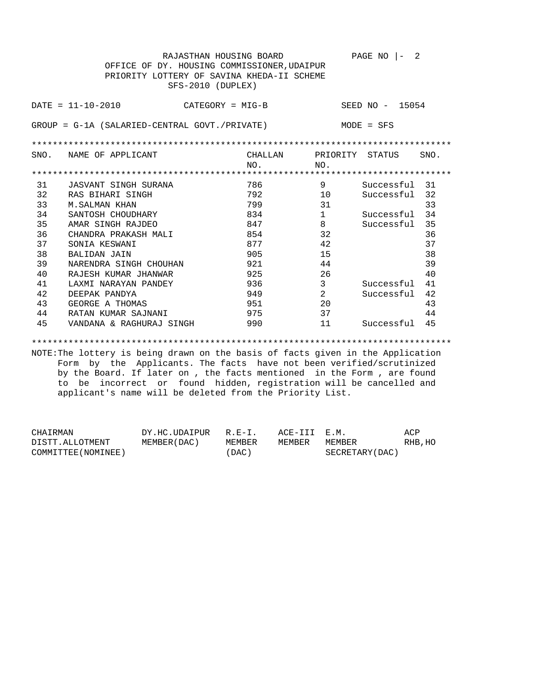|      | RAJASTHAN HOUSING BOARD<br>OFFICE OF DY. HOUSING COMMISSIONER, UDAIPUR<br>PRIORITY LOTTERY OF SAVINA KHEDA-II SCHEME<br>SFS-2010 (DUPLEX) |                            |                        | PAGE NO<br>2<br>$\overline{ }$ $-$ |      |
|------|-------------------------------------------------------------------------------------------------------------------------------------------|----------------------------|------------------------|------------------------------------|------|
|      | $DATA - 10 - 2010$<br>CATEGORY = MIG-B                                                                                                    |                            |                        | SEED NO - 15054                    |      |
|      | $GROUP = G-1A (SALARIED-CENTRAL GOUT./PRIVATE)$                                                                                           |                            |                        | $MODE = SFS$                       |      |
|      |                                                                                                                                           |                            |                        |                                    |      |
| SNO. | NAME OF APPLICANT                                                                                                                         | CHALLAN<br>NO <sub>1</sub> | PRIORITY STATUS<br>NO. |                                    | SNO. |
|      |                                                                                                                                           |                            |                        |                                    |      |
| 31   | JASVANT SINGH SURANA                                                                                                                      | 786                        | 9                      | Successful                         | 31   |
| 32   | RAS BIHARI SINGH                                                                                                                          | 792                        | 10                     | Successful                         | 32   |
| 33   | <b>M.SALMAN KHAN</b>                                                                                                                      | 799                        | 31                     |                                    | 33   |
| 34   | SANTOSH CHOUDHARY                                                                                                                         | 834                        | $\mathbf{1}$           | Successful                         | 34   |
| 35   | AMAR SINGH RAJDEO                                                                                                                         | 847                        | 8                      | Successful                         | 35   |
| 36   | CHANDRA PRAKASH MALI                                                                                                                      | 854                        | 32                     |                                    | 36   |
| 37   | SONIA KESWANI                                                                                                                             | 877                        | 42                     |                                    | 37   |
| 38   | <b>BALIDAN JAIN</b>                                                                                                                       | 905                        | 15                     |                                    | 38   |
| 39   | NARENDRA SINGH CHOUHAN                                                                                                                    | 921                        | 44                     |                                    | 39   |
| 40   | RAJESH KUMAR JHANWAR                                                                                                                      | 925                        | 26                     |                                    | 40   |
| 41   | LAXMI NARAYAN PANDEY                                                                                                                      | 936                        | 3                      | Successful                         | 41   |
| 42   | DEEPAK PANDYA                                                                                                                             | 949                        | $\overline{2}$         | Successful                         | 42   |
| 43   | GEORGE A THOMAS                                                                                                                           | 951                        | 20                     |                                    | 43   |
| 44   | RATAN KUMAR SAJNANI                                                                                                                       | 975                        | 37                     |                                    | 44   |
| 45   | VANDANA & RAGHURAJ SINGH                                                                                                                  | 990                        | 11                     | Successful                         | 45   |

\*\*\*\*\*\*\*\*\*\*\*\*\*\*\*\*\*\*\*\*\*\*\*\*\*\*\*\*\*\*\*\*\*\*\*\*\*\*\*\*\*\*\*\*\*\*\*\*\*\*\*\*\*\*\*\*\*\*\*\*\*\*\*\*\*\*\*\*\*\*\*\*\*\*\*\*\*\*\*\*

| CHAIRMAN            | DY.HC.UDAIPUR | R.F.-T. | ACE-III E.M. |                 | ACP     |
|---------------------|---------------|---------|--------------|-----------------|---------|
| DISTT.ALLOTMENT     | MEMBER (DAC)  | MEMBER  | MEMBER       | MEMBER          | RHB, HO |
| COMMITTEE (NOMINEE) |               | 'DAC)   |              | SECRETARY (DAC) |         |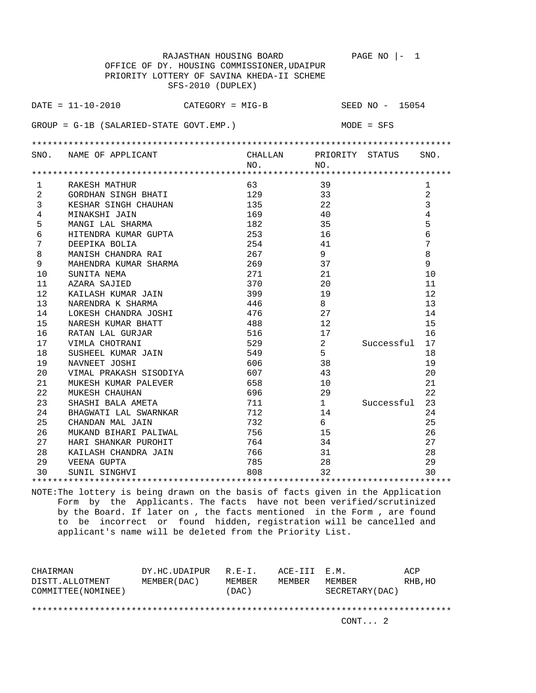|              | RAJASTHAN HOUSING BOARD                     |         |                | PAGE NO $ -$<br>$\mathbf{1}$ |                |  |  |  |
|--------------|---------------------------------------------|---------|----------------|------------------------------|----------------|--|--|--|
|              | OFFICE OF DY. HOUSING COMMISSIONER, UDAIPUR |         |                |                              |                |  |  |  |
|              | PRIORITY LOTTERY OF SAVINA KHEDA-II SCHEME  |         |                |                              |                |  |  |  |
|              | SFS-2010 (DUPLEX)                           |         |                |                              |                |  |  |  |
|              |                                             |         |                |                              |                |  |  |  |
|              | $DATA = 11 - 10 - 2010$<br>CATEGORY = MIG-B |         |                | SEED NO - 15054              |                |  |  |  |
|              |                                             |         |                |                              |                |  |  |  |
|              | $GROUP = G-1B (SALARIED-STATE GOVT. EMP.)$  |         |                | $MODE = SFS$                 |                |  |  |  |
|              |                                             |         |                |                              |                |  |  |  |
|              |                                             |         |                |                              |                |  |  |  |
|              | SNO. NAME OF APPLICANT                      | CHALLAN |                | PRIORITY STATUS              | SNO.           |  |  |  |
|              |                                             | NO.     | NO.            |                              |                |  |  |  |
|              |                                             |         |                |                              |                |  |  |  |
| $\mathbf{1}$ | RAKESH MATHUR                               | 63      | 39             |                              | 1              |  |  |  |
| 2            | GORDHAN SINGH BHATI                         | 129     | 33             |                              | 2              |  |  |  |
| 3            | KESHAR SINGH CHAUHAN                        | 135     | 22             |                              | 3              |  |  |  |
| 4            | MINAKSHI JAIN                               | 169     | 40             |                              | $\overline{4}$ |  |  |  |
| 5            | MANGI LAL SHARMA                            | 182     | 35             |                              | 5              |  |  |  |
| 6            | HITENDRA KUMAR GUPTA                        | 253     | 16             |                              | 6              |  |  |  |
| 7            | DEEPIKA BOLIA                               | 254     | 41             |                              | 7              |  |  |  |
| 8            | MANISH CHANDRA RAI                          | 267     | 9              |                              | 8              |  |  |  |
| 9            | MAHENDRA KUMAR SHARMA                       | 269     | 37             |                              | 9              |  |  |  |
| 10           | SUNITA NEMA                                 | 271     | 21             |                              | 10             |  |  |  |
| 11           | AZARA SAJIED                                | 370     | 20             |                              | 11             |  |  |  |
| 12           | KAILASH KUMAR JAIN                          | 399     | 19             |                              | 12             |  |  |  |
| 13           | NARENDRA K SHARMA                           | 446     | 8              |                              | 13             |  |  |  |
| 14           | LOKESH CHANDRA JOSHI                        | 476     | 27             |                              | 14             |  |  |  |
| 15           | NARESH KUMAR BHATT                          | 488     | 12             |                              | 15             |  |  |  |
| 16           | RATAN LAL GURJAR                            | 516     | 17             |                              | 16             |  |  |  |
| 17           | VIMLA CHOTRANI                              | 529     | $\overline{2}$ | Successful                   | 17             |  |  |  |
| 18           | SUSHEEL KUMAR JAIN                          | 549     | 5              |                              | 18             |  |  |  |
| 19           | NAVNEET JOSHI                               | 606     | 38             |                              | 19             |  |  |  |
| 20           | VIMAL PRAKASH SISODIYA                      | 607     | 43             |                              | 20             |  |  |  |
| 21           | MUKESH KUMAR PALEVER                        | 658     | 10             |                              | 21             |  |  |  |
| 22           | MUKESH CHAUHAN                              | 696     | 29             |                              | 22             |  |  |  |
| 23           | SHASHI BALA AMETA                           | 711     | 1              | Successful                   | 23             |  |  |  |
| 24           | BHAGWATI LAL SWARNKAR                       | 712     | 14             |                              | 24             |  |  |  |
| 25           | CHANDAN MAL JAIN                            | 732     | 6              |                              | 25             |  |  |  |
| 26           | MUKAND BIHARI PALIWAL                       | 756     | 15             |                              | 26             |  |  |  |
| 27           | HARI SHANKAR PUROHIT                        | 764     | 34             |                              | 27             |  |  |  |
| 28           | KAILASH CHANDRA JAIN                        | 766     | 31             |                              | 28             |  |  |  |
| 29           | VEENA GUPTA                                 | 785     | 28             |                              | 29             |  |  |  |
| 30           | SUNIL SINGHVI                               | 808     | 32             |                              | 30             |  |  |  |
|              |                                             |         |                |                              |                |  |  |  |

| CHAIRMAN                               | DY.HC.UDAIPUR | $R.F - T$ . | ACE-III E.M. |                           | ACP     |  |  |
|----------------------------------------|---------------|-------------|--------------|---------------------------|---------|--|--|
| DISTT.ALLOTMENT<br>COMMITTEE (NOMINEE) | MEMBER (DAC ) | MEMBER      | MEMBER       | MEMBER<br>SECRETARY (DAC) | RHB, HO |  |  |
|                                        |               | (DAC)       |              |                           |         |  |  |
|                                        |               |             |              |                           |         |  |  |
|                                        |               |             |              | CONT. 2                   |         |  |  |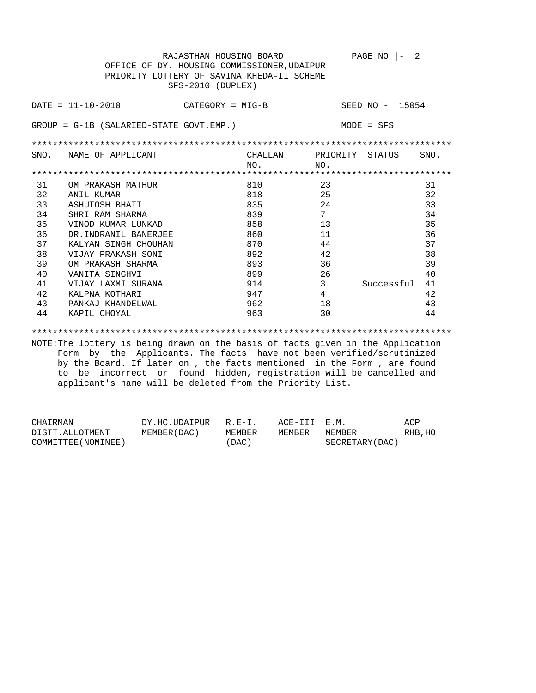|      | RAJASTHAN HOUSING BOARD<br>PAGE NO<br>2<br>OFFICE OF DY. HOUSING COMMISSIONER, UDAIPUR<br>PRIORITY LOTTERY OF SAVINA KHEDA-II SCHEME<br>SFS-2010 (DUPLEX) |         |                |                 |      |  |  |  |
|------|-----------------------------------------------------------------------------------------------------------------------------------------------------------|---------|----------------|-----------------|------|--|--|--|
|      | $DATA = 11 - 10 - 2010$<br>CATEGORY = MIG-B                                                                                                               |         |                | SEED NO - 15054 |      |  |  |  |
|      | $GROUP = G-1B (SALARIED-STATE GOUT. EMP.)$                                                                                                                |         |                | $MODE = SFS$    |      |  |  |  |
|      |                                                                                                                                                           |         |                |                 |      |  |  |  |
| SNO. | NAME OF APPLICANT                                                                                                                                         | CHALLAN | PRIORITY       | STATUS          | SNO. |  |  |  |
|      |                                                                                                                                                           | NO.     | NO.            |                 |      |  |  |  |
|      |                                                                                                                                                           |         |                |                 |      |  |  |  |
| 31   | OM PRAKASH MATHUR                                                                                                                                         | 810     | 23             |                 | 31   |  |  |  |
| 32   | ANIL KUMAR                                                                                                                                                | 818     | 25             |                 | 32   |  |  |  |
| 33   | ASHUTOSH BHATT                                                                                                                                            | 835     | 24             |                 | 33   |  |  |  |
| 34   | SHRI RAM SHARMA                                                                                                                                           | 839     | 7              |                 | 34   |  |  |  |
| 35   | VINOD KUMAR LUNKAD                                                                                                                                        | 858     | 13             |                 | 35   |  |  |  |
| 36   | DR. INDRANIL BANERJEE                                                                                                                                     | 860     | 11             |                 | 36   |  |  |  |
| 37   | KALYAN SINGH CHOUHAN                                                                                                                                      | 870     | 44             |                 | 37   |  |  |  |
| 38   | VIJAY PRAKASH SONI                                                                                                                                        | 892     | 42             |                 | 38   |  |  |  |
| 39   | OM PRAKASH SHARMA                                                                                                                                         | 893     | 36             |                 | 39   |  |  |  |
| 40   | VANITA SINGHVI                                                                                                                                            | 899     | 26             |                 | 40   |  |  |  |
| 41   | VIJAY LAXMI SURANA                                                                                                                                        | 914     | 3              | Successful      | 41   |  |  |  |
| 42   | KALPNA KOTHARI                                                                                                                                            | 947     | $\overline{4}$ |                 | 42   |  |  |  |
| 43   | PANKAJ KHANDELWAL                                                                                                                                         | 962     | 18             |                 | 43   |  |  |  |
| 44   | KAPIL CHOYAL                                                                                                                                              | 963     | 30             |                 | 44   |  |  |  |

\*\*\*\*\*\*\*\*\*\*\*\*\*\*\*\*\*\*\*\*\*\*\*\*\*\*\*\*\*\*\*\*\*\*\*\*\*\*\*\*\*\*\*\*\*\*\*\*\*\*\*\*\*\*\*\*\*\*\*\*\*\*\*\*\*\*\*\*\*\*\*\*\*\*\*\*\*\*\*\*

| CHAIRMAN            | DY.HC.UDAIPUR R.E-I. |           | ACE-III E.M. |                  | ACP     |
|---------------------|----------------------|-----------|--------------|------------------|---------|
| DISTT.ALLOTMENT     | MEMBER (DAC )        | MEMBER    | MEMBER       | MEMBER           | RHB, HO |
| COMMITTEE (NOMINEE) |                      | $'$ DAC ) |              | SECRETARY (DAC ) |         |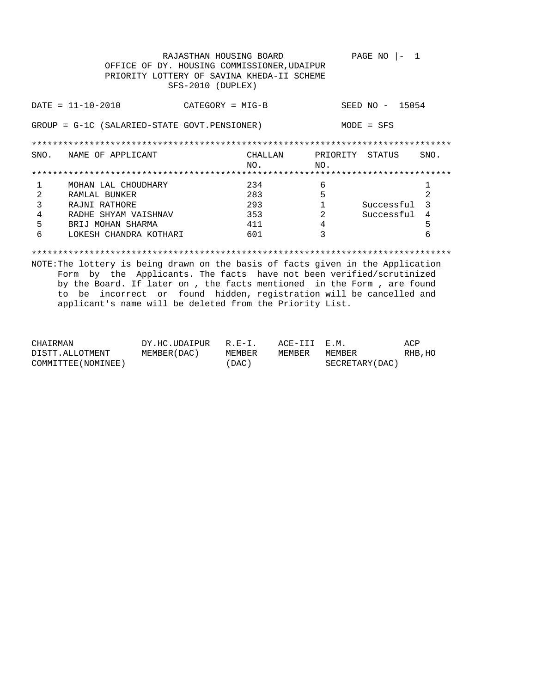| PAGE NO<br>RAJASTHAN HOUSING BOARD<br>OFFICE OF DY. HOUSING COMMISSIONER, UDAIPUR<br>PRIORITY LOTTERY OF SAVINA KHEDA-II SCHEME<br>SFS-2010 (DUPLEX) |                                                                                 |                    |                |                        |                 |      |
|------------------------------------------------------------------------------------------------------------------------------------------------------|---------------------------------------------------------------------------------|--------------------|----------------|------------------------|-----------------|------|
|                                                                                                                                                      | $DATA = 11 - 10 - 2010$                                                         | $CATEGORY = MIG-B$ |                |                        | SEED NO - 15054 |      |
| GROUP = G-1C (SALARIED-STATE GOVT.PENSIONER)<br>$MODE = SFS$                                                                                         |                                                                                 |                    |                |                        |                 |      |
|                                                                                                                                                      |                                                                                 |                    |                |                        |                 |      |
| SNO.                                                                                                                                                 | NAME OF APPLICANT                                                               |                    | CHALLAN<br>NO. | PRIORITY STATUS<br>NO. |                 | SNO. |
|                                                                                                                                                      |                                                                                 |                    |                |                        |                 |      |
|                                                                                                                                                      | MOHAN LAL CHOUDHARY                                                             |                    | 234            | 6                      |                 |      |
| $\overline{2}$                                                                                                                                       | RAMLAL BUNKER                                                                   |                    | 283            | 5                      |                 | 2    |
| 3                                                                                                                                                    | RAJNI RATHORE                                                                   |                    | 293            |                        | Successful      | 3    |
| 4                                                                                                                                                    | RADHE SHYAM VAISHNAV                                                            |                    | 353            | 2                      | Successful      | 4    |
| 5                                                                                                                                                    | BRIJ MOHAN SHARMA                                                               |                    | 411            | 4                      |                 | 5    |
| 6                                                                                                                                                    | LOKESH CHANDRA KOTHARI                                                          |                    | 601            | ς                      |                 | 6    |
|                                                                                                                                                      | MOTE: The lettery is being drawn on the basis of fasts given in the Application |                    |                |                        |                 |      |

| CHAIRMAN            | DY.HC.UDAIPUR R.E-I. |        | ACE-III E.M. |                 | ACP     |
|---------------------|----------------------|--------|--------------|-----------------|---------|
| DISTT.ALLOTMENT     | MEMBER ( DAC )       | MEMBER | MEMBER       | MEMBER          | RHB, HO |
| COMMITTEE (NOMINEE) |                      | 'DAC)  |              | SECRETARY (DAC) |         |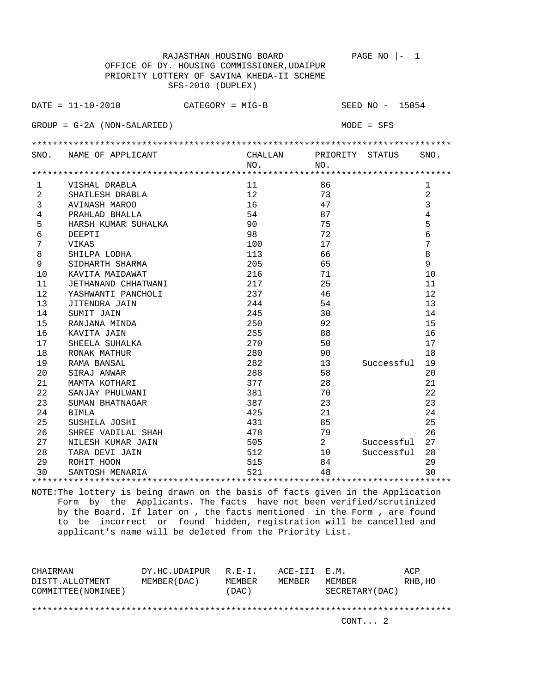| RAJASTHAN HOUSING BOARD<br>$PAGE NO$  -<br>1 |                                            |                   |                 |                 |      |  |  |  |  |
|----------------------------------------------|--------------------------------------------|-------------------|-----------------|-----------------|------|--|--|--|--|
| OFFICE OF DY. HOUSING COMMISSIONER, UDAIPUR  |                                            |                   |                 |                 |      |  |  |  |  |
|                                              | PRIORITY LOTTERY OF SAVINA KHEDA-II SCHEME |                   |                 |                 |      |  |  |  |  |
|                                              | SFS-2010 (DUPLEX)                          |                   |                 |                 |      |  |  |  |  |
|                                              |                                            |                   |                 |                 |      |  |  |  |  |
|                                              | $DATA = 11 - 10 - 2010$                    | CATEGORY = MIG-B  |                 | SEED NO - 15054 |      |  |  |  |  |
|                                              |                                            |                   |                 |                 |      |  |  |  |  |
|                                              | $GROUP = G-2A (NON-SALARIED)$              |                   |                 | $MODE = SFS$    |      |  |  |  |  |
|                                              |                                            |                   |                 |                 |      |  |  |  |  |
|                                              |                                            |                   |                 |                 |      |  |  |  |  |
| SNO.                                         | NAME OF APPLICANT                          | CHALLAN           | PRIORITY STATUS |                 | SNO. |  |  |  |  |
|                                              |                                            | NO.               | NO.             |                 |      |  |  |  |  |
|                                              |                                            |                   |                 |                 |      |  |  |  |  |
| $\mathbf{1}$                                 | VISHAL DRABLA                              | 11                | 86              |                 | 1    |  |  |  |  |
| 2                                            | SHAILESH DRABLA                            | $12 \overline{ }$ | 73              |                 | 2    |  |  |  |  |
| 3                                            | AVINASH MAROO                              | 16                | 47              |                 | 3    |  |  |  |  |
| 4                                            | PRAHLAD BHALLA                             | 54                | 87              |                 | 4    |  |  |  |  |
| 5                                            | HARSH KUMAR SUHALKA                        | 90                | 75              |                 | 5    |  |  |  |  |
| 6                                            | DEEPTI                                     | 98                | 72              |                 | 6    |  |  |  |  |
| $\sqrt{ }$                                   | VIKAS                                      | 100               | 17              |                 | 7    |  |  |  |  |
| 8                                            | SHILPA LODHA                               | 113               | 66              |                 | 8    |  |  |  |  |
| 9                                            | SIDHARTH SHARMA                            | 205               | 65              |                 | 9    |  |  |  |  |
| 10                                           | KAVITA MAIDAWAT                            | 216               | 71              |                 | 10   |  |  |  |  |
| 11                                           | JETHANAND CHHATWANI                        | 217               | 25              |                 | 11   |  |  |  |  |
| 12                                           | YASHWANTI PANCHOLI                         | 237               | 46              |                 | 12   |  |  |  |  |
| 13                                           | JITENDRA JAIN                              | 244               | 54              |                 | 13   |  |  |  |  |
| 14                                           | SUMIT JAIN                                 | 245               | 30              |                 | 14   |  |  |  |  |
| 15                                           | RANJANA MINDA                              | 250               | 92              |                 | 15   |  |  |  |  |
| 16                                           | KAVITA JAIN                                | 255               | 88              |                 | 16   |  |  |  |  |
| 17                                           | SHEELA SUHALKA                             | 270               | 50              |                 | 17   |  |  |  |  |
| 18                                           | RONAK MATHUR                               | 280               | 90              |                 | 18   |  |  |  |  |
| 19                                           | RAMA BANSAL                                | 282               | 13              | Successful      | 19   |  |  |  |  |
| 20                                           | SIRAJ ANWAR                                | 288               | 58              |                 | 20   |  |  |  |  |
| 21                                           | MAMTA KOTHARI                              | 377               | 28              |                 | 21   |  |  |  |  |
| 22                                           | SANJAY PHULWANI                            | 381               | 70              |                 | 22   |  |  |  |  |
| 23                                           | SUMAN BHATNAGAR                            | 387               | 23              |                 | 23   |  |  |  |  |
| 24                                           | <b>BIMLA</b>                               | 425               | 21              |                 | 24   |  |  |  |  |
| 25                                           | SUSHILA JOSHI                              | 431               | 85              |                 | 25   |  |  |  |  |
| 26                                           | SHREE VADILAL SHAH                         | 478               | 79              |                 | 26   |  |  |  |  |
| 27                                           | NILESH KUMAR JAIN                          | 505               | 2               | Successful      | 27   |  |  |  |  |
| 28                                           | TARA DEVI JAIN                             | 512               | 10              | Successful      | 28   |  |  |  |  |
| 29                                           | ROHIT HOON                                 | 515               | 84              |                 | 29   |  |  |  |  |
| 30                                           | SANTOSH MENARIA                            | 521               | 48              |                 | 30   |  |  |  |  |
|                                              |                                            |                   |                 |                 |      |  |  |  |  |

| CHAIRMAN<br>DISTT.ALLOTMENT<br>COMMITTEE (NOMINEE) | DY.HC.UDAIPUR<br>MEMBER (DAC ) | $R.F - T$ .<br>MEMBER<br>(DAC) | ACE-III E.M.<br>MEMBER | MEMBER<br>SECRETARY (DAC) | ACP<br>RHB, HO |
|----------------------------------------------------|--------------------------------|--------------------------------|------------------------|---------------------------|----------------|
|                                                    |                                |                                |                        | CONT. 2                   |                |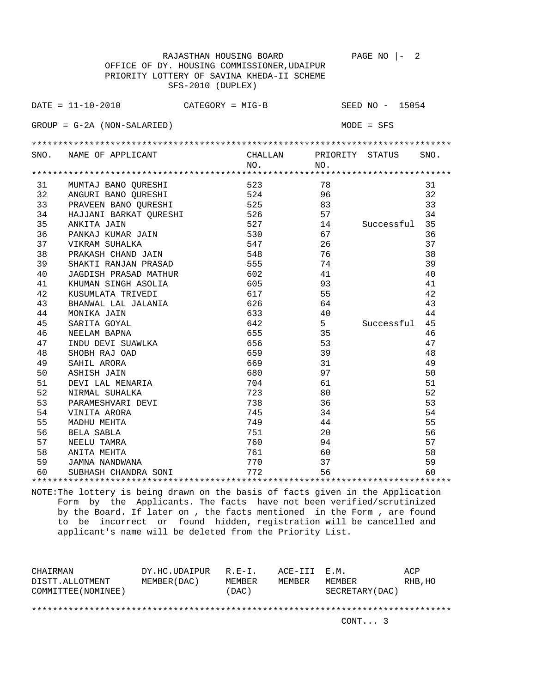|    | RAJASTHAN HOUSING BOARD                                               |         |                | PAGE NO $ -$<br>2 |      |  |  |  |  |
|----|-----------------------------------------------------------------------|---------|----------------|-------------------|------|--|--|--|--|
|    | OFFICE OF DY. HOUSING COMMISSIONER, UDAIPUR                           |         |                |                   |      |  |  |  |  |
|    | PRIORITY LOTTERY OF SAVINA KHEDA-II SCHEME                            |         |                |                   |      |  |  |  |  |
|    | SFS-2010 (DUPLEX)                                                     |         |                |                   |      |  |  |  |  |
|    |                                                                       |         |                |                   |      |  |  |  |  |
|    | $\texttt{DATE} = 11 - 10 - 2010$ $\texttt{CATEGORY} = \texttt{MIG-B}$ |         |                | SEED NO - 15054   |      |  |  |  |  |
|    |                                                                       |         |                |                   |      |  |  |  |  |
|    | $GROUP = G-2A (NON-SALARIED)$                                         |         |                | $MODE = SFS$      |      |  |  |  |  |
|    |                                                                       |         |                |                   |      |  |  |  |  |
|    | SNO. NAME OF APPLICANT                                                | CHALLAN |                | PRIORITY STATUS   | SNO. |  |  |  |  |
|    |                                                                       | NO.     | NO.            |                   |      |  |  |  |  |
|    |                                                                       |         |                |                   |      |  |  |  |  |
| 31 | MUMTAJ BANO QURESHI                                                   | 523     | 78             |                   | 31   |  |  |  |  |
|    | 32 ANGURI BANO QURESHI                                                | 524     | 96             |                   | 32   |  |  |  |  |
|    | 33 PRAVEEN BANO QURESHI                                               | 525     | 83             |                   | 33   |  |  |  |  |
| 34 | HAJJANI BARKAT QURESHI                                                | 526     | 57             |                   | 34   |  |  |  |  |
| 35 | ANKITA JAIN                                                           | 527     | 14             | Successful        | 35   |  |  |  |  |
| 36 | PANKAJ KUMAR JAIN                                                     | 530     | 67             |                   | 36   |  |  |  |  |
| 37 | VIKRAM SUHALKA                                                        | 547     | 26             |                   | 37   |  |  |  |  |
| 38 | PRAKASH CHAND JAIN                                                    | 548     | 76             |                   | 38   |  |  |  |  |
| 39 | SHAKTI RANJAN PRASAD                                                  | 555     | 74             |                   | 39   |  |  |  |  |
| 40 | JAGDISH PRASAD MATHUR                                                 | 602     | 41             |                   | 40   |  |  |  |  |
| 41 | KHUMAN SINGH ASOLIA                                                   | 605     | 93             |                   | 41   |  |  |  |  |
| 42 | KUSUMLATA TRIVEDI                                                     | 617     | 55             |                   | 42   |  |  |  |  |
| 43 | BHANWAL LAL JALANIA                                                   | 626     | 64             |                   | 43   |  |  |  |  |
| 44 | MONIKA JAIN                                                           | 633     | 40             |                   | 44   |  |  |  |  |
| 45 | SARITA GOYAL                                                          | 642     | 5 <sup>1</sup> | Successful        | 45   |  |  |  |  |
| 46 | NEELAM BAPNA                                                          | 655     | 35             |                   | 46   |  |  |  |  |
| 47 | INDU DEVI SUAWLKA                                                     | 656     | 53             |                   | 47   |  |  |  |  |
| 48 | SHOBH RAJ OAD                                                         | 659     | 39             |                   | 48   |  |  |  |  |
| 49 | SAHIL ARORA                                                           | 669     | 31             |                   | 49   |  |  |  |  |
| 50 | ASHISH JAIN                                                           | 680     | 97             |                   | 50   |  |  |  |  |
| 51 | DEVI LAL MENARIA                                                      | 704     | 61             |                   | 51   |  |  |  |  |
| 52 | NIRMAL SUHALKA                                                        | 723     | 80             |                   | 52   |  |  |  |  |
| 53 | PARAMESHVARI DEVI                                                     | 738     | 36             |                   | 53   |  |  |  |  |
| 54 | VINITA ARORA                                                          | 745     | 34             |                   | 54   |  |  |  |  |
| 55 | MADHU MEHTA                                                           | 749     | 44             |                   | 55   |  |  |  |  |
| 56 | BELA SABLA                                                            | 751     | 20             |                   | 56   |  |  |  |  |
| 57 | NEELU TAMRA                                                           | 760     | 94             |                   | 57   |  |  |  |  |
| 58 | ANITA MEHTA                                                           | 761     | 60             |                   | 58   |  |  |  |  |
| 59 | JAMNA NANDWANA                                                        | 770     | 37             |                   | 59   |  |  |  |  |
| 60 | SUBHASH CHANDRA SONI                                                  | 772     | 56             |                   | 60   |  |  |  |  |
|    |                                                                       |         |                |                   |      |  |  |  |  |

| CHAIRMAN                               | DY.HC.UDAIPUR | $R.F - T$ .     | ACE-III E.M. |                           | ACP     |
|----------------------------------------|---------------|-----------------|--------------|---------------------------|---------|
| DISTT.ALLOTMENT<br>COMMITTEE (NOMINEE) | MEMBER (DAC)  | MEMBER<br>(DAC) | MEMBER       | MEMBER<br>SECRETARY (DAC) | RHB, HO |
|                                        |               |                 |              |                           |         |
|                                        |               |                 |              | CONT. 3                   |         |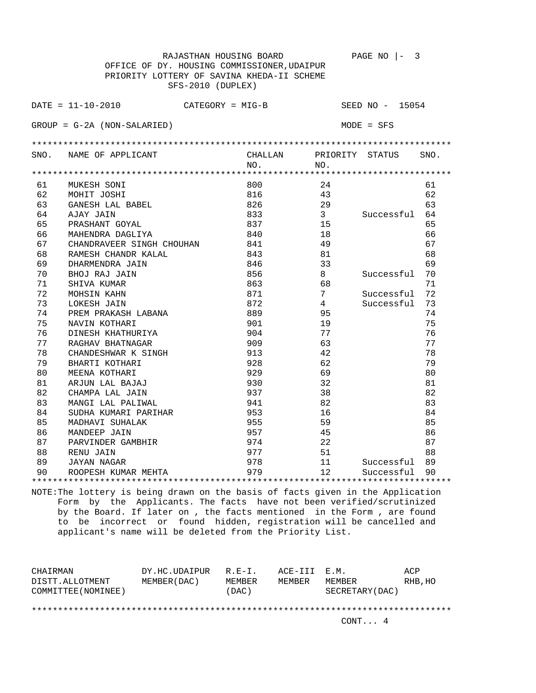|      | RAJASTHAN HOUSING BOARD                       |         |                 | PAGE NO<br>3    |      |
|------|-----------------------------------------------|---------|-----------------|-----------------|------|
|      | OFFICE OF DY. HOUSING COMMISSIONER, UDAIPUR   |         |                 |                 |      |
|      | PRIORITY LOTTERY OF SAVINA KHEDA-II SCHEME    |         |                 |                 |      |
|      | SFS-2010 (DUPLEX)                             |         |                 |                 |      |
|      |                                               |         |                 |                 |      |
|      | $DATA = 11 - 10 - 2010$<br>$CATEGORY = MIG-B$ |         |                 | SEED NO - 15054 |      |
|      | $GROUP = G-2A (NON-SALARIED)$                 |         |                 | $MODE = SFS$    |      |
|      |                                               |         |                 |                 |      |
| SNO. | NAME OF APPLICANT                             | CHALLAN | PRIORITY STATUS |                 | SNO. |
|      |                                               | NO.     | NO.             |                 |      |
|      |                                               |         |                 |                 |      |
| 61   | MUKESH SONI                                   | 800     | 2.4             |                 | 61   |
| 62   | MOHIT JOSHI                                   | 816     | 43              |                 | 62   |
| 63   | GANESH LAL BABEL                              | 826     | 29              |                 | 63   |
| 64   | AJAY JAIN                                     | 833     | 3 <sup>7</sup>  | Successful      | 64   |
| 65   | PRASHANT GOYAL                                | 837     | 15              |                 | 65   |
| 66   | MAHENDRA DAGLIYA                              | 840     | 18              |                 | 66   |
| 67   | CHANDRAVEER SINGH CHOUHAN                     | 841     | 49              |                 | 67   |
| 68   | RAMESH CHANDR KALAL                           | 843     | 81              |                 | 68   |
| 69   | DHARMENDRA JAIN                               | 846     | 33              |                 | 69   |
| 70   | BHOJ RAJ JAIN                                 | 856     | 8               | Successful      | 70   |
| 71   | SHIVA KUMAR                                   | 863     | 68              |                 | 71   |
| 72   | MOHSIN KAHN                                   | 871     | 7               | Successful      | 72   |
| 73   | LOKESH JAIN                                   | 872     | $\overline{4}$  | Successful      | 73   |
| 74   | PREM PRAKASH LABANA                           | 889     | 95              |                 | 74   |
| 75   | NAVIN KOTHARI                                 | 901     | 19              |                 | 75   |
| 76   | DINESH KHATHURIYA                             | 904     | 77              |                 | 76   |
| 77   | RAGHAV BHATNAGAR                              | 909     | 63              |                 | 77   |
| 78   | CHANDESHWAR K SINGH                           | 913     | 42              |                 | 78   |
| 79   | BHARTI KOTHARI                                | 928     | 62              |                 | 79   |
| 80   | MEENA KOTHARI                                 | 929     | 69              |                 | 80   |
| 81   | ARJUN LAL BAJAJ                               | 930     | 32              |                 | 81   |
| 82   | CHAMPA LAL JAIN                               | 937     | 38              |                 | 82   |
| 83   | MANGI LAL PALIWAL                             | 941     | 82              |                 | 83   |
| 84   | SUDHA KUMARI PARIHAR                          | 953     | 16              |                 | 84   |
| 85   | MADHAVI SUHALAK                               | 955     | 59              |                 | 85   |
| 86   | MANDEEP JAIN                                  | 957     | 45              |                 | 86   |
| 87   | PARVINDER GAMBHIR                             | 974     | 22              |                 | 87   |
| 88   | RENU JAIN                                     | 977     | 51              |                 | 88   |
| 89   | JAYAN NAGAR                                   | 978     | 11              | Successful      | 89   |
| 90   | ROOPESH KUMAR MEHTA                           | 979     | 12              | Successful      | 90   |
|      |                                               |         |                 |                 |      |

| CHAIRMAN<br>DISTT.ALLOTMENT | DY.HC.UDAIPUR<br>MEMBER (DAC) | $R.F - T$ .<br>MEMBER | ACE-III E.M.<br>MEMBER | MEMBER          | ACP<br>RHB, HO |
|-----------------------------|-------------------------------|-----------------------|------------------------|-----------------|----------------|
| COMMITTEE (NOMINEE)         |                               | (DAC)                 |                        | SECRETARY (DAC) |                |
|                             |                               |                       |                        | CONT 4          |                |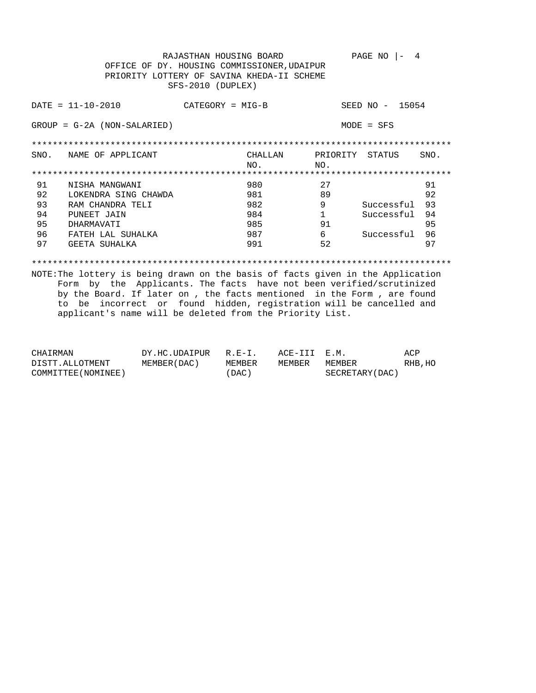|      | OFFICE OF<br>PRIORITY LOTTERY OF | RAJASTHAN HOUSING BOARD<br>SFS-2010 (DUPLEX) | DY. HOUSING COMMISSIONER, UDAIPUR<br>SAVINA KHEDA-II SCHEME |              | PAGE NO<br>4                                 |      |
|------|----------------------------------|----------------------------------------------|-------------------------------------------------------------|--------------|----------------------------------------------|------|
|      | $DATA = 11 - 10 - 2010$          | $CATEGORY = MIG-B$                           |                                                             |              | 15054<br>SEED NO<br>$\overline{\phantom{m}}$ |      |
|      | $GROUP = G-2A (NON-SALARIED)$    |                                              |                                                             |              | $MODE = SFS$                                 |      |
|      |                                  |                                              |                                                             |              |                                              |      |
| SNO. | NAME OF APPLICANT                |                                              | CHALLAN                                                     | PRIORITY     | STATUS                                       | SNO. |
|      |                                  |                                              | NO.                                                         | NO.          |                                              |      |
|      |                                  |                                              |                                                             |              |                                              |      |
| 91   | NISHA MANGWANI                   |                                              | 980                                                         | 27           |                                              | 91   |
| 92   | LOKENDRA SING CHAWDA             |                                              | 981                                                         | 89           |                                              | 92   |
| 93   | RAM CHANDRA TELI                 |                                              | 982                                                         | 9            | Successful                                   | 93   |
| 94   | PUNEET JAIN                      |                                              | 984                                                         | $\mathbf{1}$ | Successful                                   | 94   |
| 95   | DHARMAVATI                       |                                              | 985                                                         | 91           |                                              | 95   |
| 96   | FATEH LAL SUHALKA                |                                              | 987                                                         | 6            | Successful                                   | 96   |
| 97   | GEETA SUHALKA                    |                                              | 991                                                         | 52           |                                              | 97   |
|      |                                  |                                              |                                                             |              |                                              |      |

| CHAIRMAN            | DY.HC.UDAIPUR | $R.F - T$ | ACE-III E.M. |                 | ACP     |
|---------------------|---------------|-----------|--------------|-----------------|---------|
| DISTT.ALLOTMENT     | MEMBER (DAC ) | MEMBER    | MEMBER       | MEMBER          | RHB, HO |
| COMMITTEE (NOMINEE) |               | (DAC)     |              | SECRETARY (DAC) |         |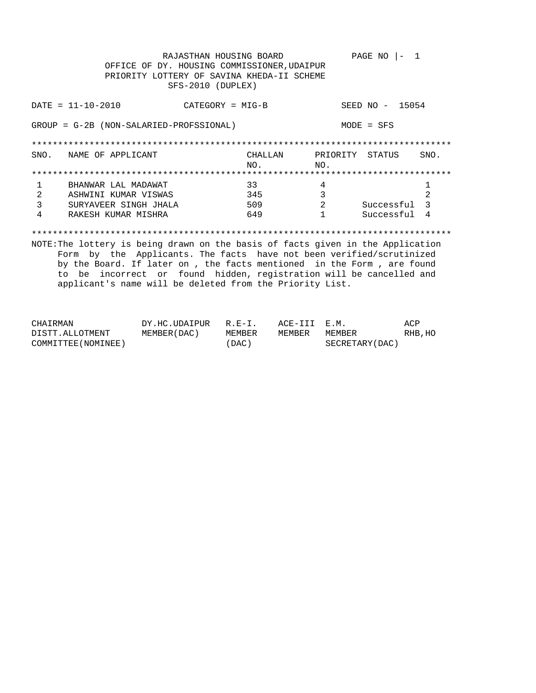|      | OFFICE OF DY. HOUSING COMMISSIONER, UDAIPUR<br>PRIORITY LOTTERY OF SAVINA KHEDA-II SCHEME | RAJASTHAN HOUSING BOARD<br>SFS-2010 (DUPLEX) |         |                 | PAGE NO<br>- 1  |                |
|------|-------------------------------------------------------------------------------------------|----------------------------------------------|---------|-----------------|-----------------|----------------|
|      | $DATA - 10 - 2010$                                                                        | CATEGORY = MIG-B                             |         |                 | SEED NO - 15054 |                |
|      | GROUP = G-2B (NON-SALARIED-PROFSSIONAL)                                                   |                                              |         |                 | $MODE = SFS$    |                |
|      |                                                                                           |                                              |         |                 |                 |                |
| SNO. | NAME OF APPLICANT                                                                         |                                              | CHALLAN | PRIORITY STATUS |                 | SNO.           |
|      |                                                                                           |                                              | NO.     | NO.             |                 |                |
|      |                                                                                           |                                              |         |                 |                 |                |
| 1    | BHANWAR LAL MADAWAT                                                                       |                                              | 33      | 4               |                 | 1              |
| 2    | ASHWINI KUMAR VISWAS                                                                      |                                              | 345     | 3               |                 | 2              |
| 3    | SURYAVEER SINGH JHALA                                                                     |                                              | 509     | 2               | Successful      | $\mathcal{E}$  |
| 4    | RAKESH KUMAR MISHRA                                                                       |                                              | 649     |                 | Successful      | $\overline{4}$ |
|      |                                                                                           |                                              |         |                 |                 |                |
|      | NOTE: The lottery is being drawn on the basis of facts given in the Application           |                                              |         |                 |                 |                |
|      | Form by the Applicants. The facts have not been verified/scrutinized                      |                                              |         |                 |                 |                |
|      | by the Board. If later on, the facts mentioned in the Form, are found                     |                                              |         |                 |                 |                |
|      | to be incorrect or found hidden, registration will be cancelled and                       |                                              |         |                 |                 |                |
|      | applicant's name will be deleted from the Priority List.                                  |                                              |         |                 |                 |                |

| CHAIRMAN            | DY.HC.UDAIPUR  | $R.E-I.$ | ACE-III E.M. |                 | ACP     |
|---------------------|----------------|----------|--------------|-----------------|---------|
| DISTT.ALLOTMENT     | MEMBER ( DAC ) | MEMBER   | MEMBER       | MEMBER          | RHB, HO |
| COMMITTEE (NOMINEE) |                | ' DAC )  |              | SECRETARY (DAC) |         |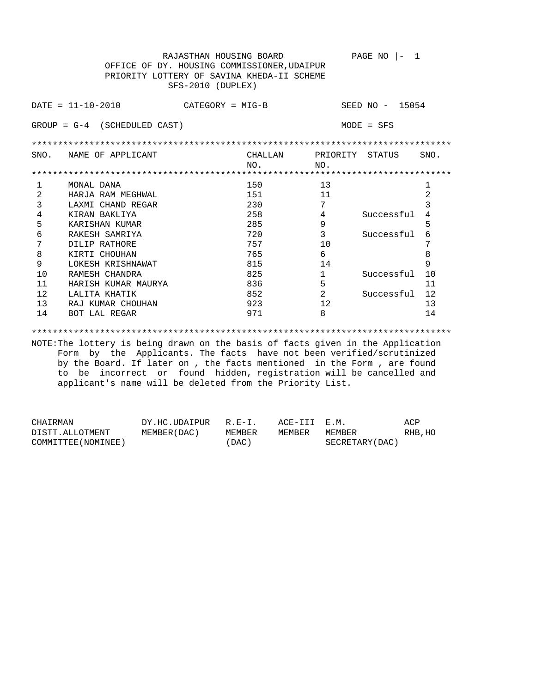RAJASTHAN HOUSING BOARD PAGE NO  $|-1$  OFFICE OF DY. HOUSING COMMISSIONER,UDAIPUR PRIORITY LOTTERY OF SAVINA KHEDA-II SCHEME SFS-2010 (DUPLEX) DATE = 11-10-2010 CATEGORY = MIG-B SEED NO - 15054 GROUP = G-4 (SCHEDULED CAST) MODE = SFS \*\*\*\*\*\*\*\*\*\*\*\*\*\*\*\*\*\*\*\*\*\*\*\*\*\*\*\*\*\*\*\*\*\*\*\*\*\*\*\*\*\*\*\*\*\*\*\*\*\*\*\*\*\*\*\*\*\*\*\*\*\*\*\*\*\*\*\*\*\*\*\*\*\*\*\*\*\*\*\* SNO. NAME OF APPLICANT CHALLAN PRIORITY STATUS SNO. NO. NO. \*\*\*\*\*\*\*\*\*\*\*\*\*\*\*\*\*\*\*\*\*\*\*\*\*\*\*\*\*\*\*\*\*\*\*\*\*\*\*\*\*\*\*\*\*\*\*\*\*\*\*\*\*\*\*\*\*\*\*\*\*\*\*\*\*\*\*\*\*\*\*\*\*\*\*\*\*\*\*\* 1 MONAL DANA 150 13<br>
2 HARJA RAM MEGHWAL 151 11 1 2<br>
3 TIWE SUINE RESERVE RESERVE 151 11 2 2 HARJA RAM MEGHWAL 151 11 2<br>3 LAXMI CHAND REGAR 230 7 3 3 LAXMI CHAND REGAR 230 7 3 4 KIRAN BAKLIYA 258 4 Successful 4 5 KARISHAN KUMAR 285 9 5 6 RAKESH SAMRIYA 720 3 Successful 6 The Soluth Property of the Rathers of the Contract of the Contract of the Contract of the Contract of the Contract of the Contract of the Contract of the Contract of the Contract of the Contract of the Contract of the Cont 8 KIRTI CHOUHAN 765 6 8 9 LOKESH KRISHNAWAT 815 14 9 10 RAMESH CHANDRA 1 825 1 Successful 10 11 HARISH KUMAR MAURYA 836 5 11 12 LALITA KHATIK 852 2 Successful 12 13 RAJ KUMAR CHOUHAN 923 12 13 14 BOT LAL REGAR 14 971 8 14

\*\*\*\*\*\*\*\*\*\*\*\*\*\*\*\*\*\*\*\*\*\*\*\*\*\*\*\*\*\*\*\*\*\*\*\*\*\*\*\*\*\*\*\*\*\*\*\*\*\*\*\*\*\*\*\*\*\*\*\*\*\*\*\*\*\*\*\*\*\*\*\*\*\*\*\*\*\*\*\*

| CHAIRMAN            | DY.HC.UDAIPUR R.E-I. |        | ACE-III E.M. |                 | ACP     |
|---------------------|----------------------|--------|--------------|-----------------|---------|
| DISTT.ALLOTMENT     | MEMBER (DAC )        | MEMBER | MEMBER       | MEMBER          | RHB, HO |
| COMMITTEE (NOMINEE) |                      | (DAC)  |              | SECRETARY (DAC) |         |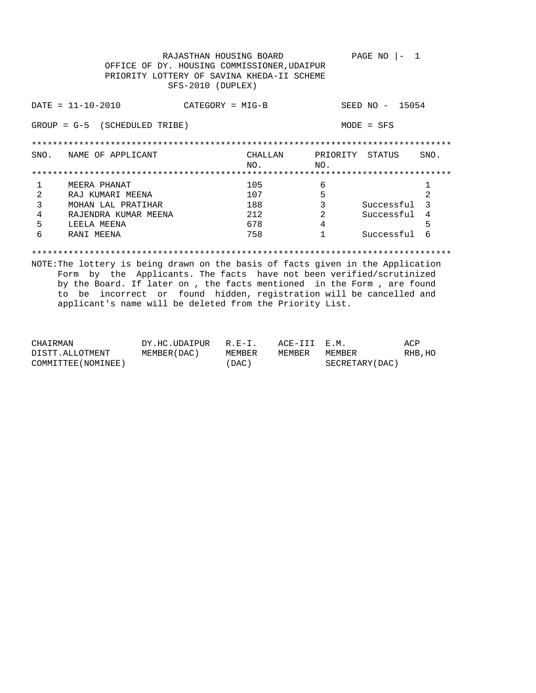|               | OFFICE OF DY. HOUSING COMMISSIONER, UDAIPUR<br>PRIORITY LOTTERY OF SAVINA KHEDA-II SCHEME | RAJASTHAN HOUSING BOARD<br>SFS-2010 (DUPLEX) |         |          | PAGE NO         |                |
|---------------|-------------------------------------------------------------------------------------------|----------------------------------------------|---------|----------|-----------------|----------------|
|               | $DATA - 10 - 2010$                                                                        | $CATEGORY = MIG-B$                           |         |          | SEED NO - 15054 |                |
| $GROUP = G-5$ | (SCHEDULED TRIBE)                                                                         |                                              |         |          | $MODE = SFS$    |                |
|               |                                                                                           |                                              |         |          |                 |                |
| SNO.          | NAME OF APPLICANT                                                                         |                                              | CHALLAN | PRIORITY | STATUS          | SNO.           |
|               |                                                                                           |                                              | NO.     | NO.      |                 |                |
|               |                                                                                           |                                              |         |          |                 |                |
|               | MEERA PHANAT                                                                              |                                              | 105     | 6        |                 |                |
| 2             | RAJ KUMARI MEENA                                                                          |                                              | 107     | 5        |                 | $\overline{2}$ |
| 3             | MOHAN LAL PRATIHAR                                                                        |                                              | 188     | 3        | Successful      | 3              |
| 4             | RAJENDRA KUMAR MEENA                                                                      |                                              | 212     | 2        | Successful      | 4              |
| 5             | LEELA MEENA                                                                               |                                              | 678     | 4        |                 | 5              |
| 6             | RANI MEENA                                                                                |                                              | 758     |          | Successful      | 6              |
|               |                                                                                           |                                              |         |          |                 |                |

| CHAIRMAN            | DY.HC.UDAIPUR | $R.E-T$  | ACE-III E.M. |                 | ACP     |
|---------------------|---------------|----------|--------------|-----------------|---------|
| DISTT.ALLOTMENT     | MEMBER (DAC ) | MEMBER   | MEMBER       | MEMBER          | RHB, HO |
| COMMITTEE (NOMINEE) |               | $'$ DAC) |              | SECRETARY (DAC) |         |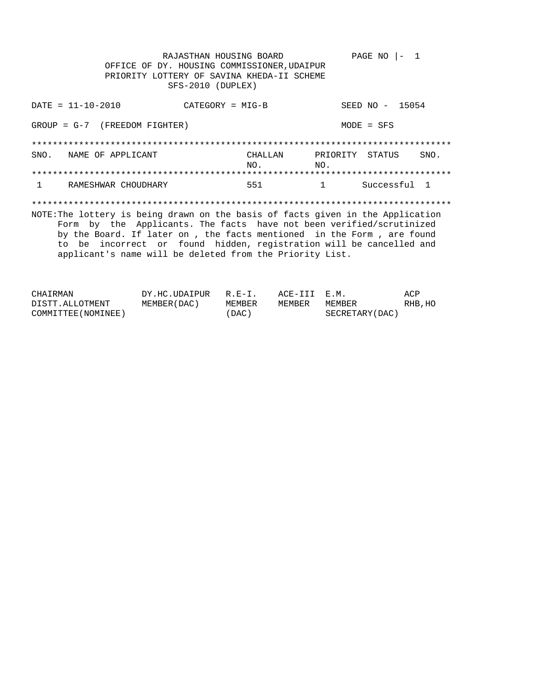RAJASTHAN HOUSING BOARD PAGE NO  $|-1$ OFFICE OF DY. HOUSING COMMISSIONER, UDAIPUR PRIORITY LOTTERY OF SAVINA KHEDA-II SCHEME SFS-2010 (DUPLEX)  $DATA = 11 - 10 - 2010$ SEED NO - 15054  $CATEGORY = MIG-B$  $GROUP = G-7$  (FREEDOM FIGHTER)  $MODE = SFS$ SNO. NAME OF APPLICANT CHALLAN PRIORITY STATUS SNO. NO.  $NO.$ RAMESHWAR CHOUDHARY 551 Successful 1  $\mathbf{1}$  $\mathbf{1}$ NOTE: The lottery is being drawn on the basis of facts given in the Application Form by the Applicants. The facts have not been verified/scrutinized by the Board. If later on , the facts mentioned in the Form , are found to be incorrect or found hidden, registration will be cancelled and applicant's name will be deleted from the Priority List.

| CHAIRMAN            | DY.HC.UDAIPUR R.E-I. |        | ACE-III E.M. |                 | ACP     |
|---------------------|----------------------|--------|--------------|-----------------|---------|
| DISTT.ALLOTMENT     | MEMBER (DAC)         | MEMBER | MEMBER       | MEMBER          | RHB, HO |
| COMMITTEE (NOMINEE) |                      | 'DAC ) |              | SECRETARY (DAC) |         |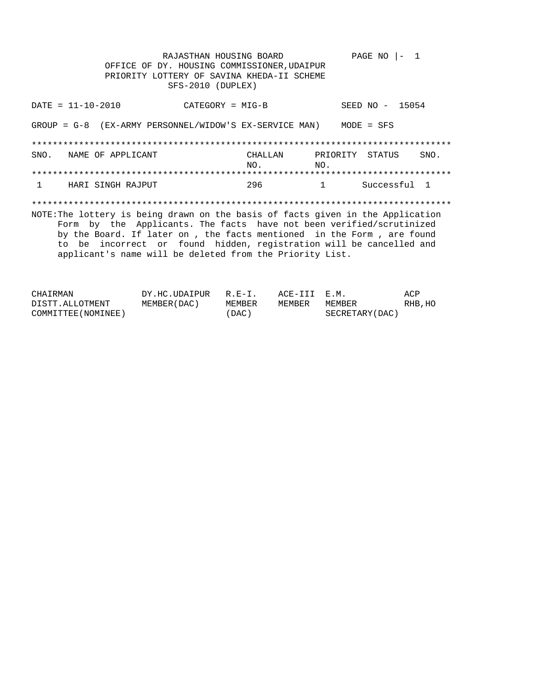RAJASTHAN HOUSING BOARD PAGE NO  $|-1$ OFFICE OF DY. HOUSING COMMISSIONER, UDAIPUR PRIORITY LOTTERY OF SAVINA KHEDA-II SCHEME SFS-2010 (DUPLEX)  $DATA = 11 - 10 - 2010$ SEED NO - 15054  $CATEGORY = MIG-B$ GROUP =  $G-8$  (EX-ARMY PERSONNEL/WIDOW'S EX-SERVICE MAN) MODE = SFS SNO. NAME OF APPLICANT CHALLAN PRIORITY STATUS SNO.  $NO.$  $NO<sub>1</sub>$ HARI SINGH RAJPUT 296 Successful 1  $\mathbf{1}$  $\mathbf{1}$ NOTE: The lottery is being drawn on the basis of facts given in the Application Form by the Applicants. The facts have not been verified/scrutinized by the Board. If later on , the facts mentioned in the Form , are found to be incorrect or found hidden, registration will be cancelled and applicant's name will be deleted from the Priority List.

| CHAIRMAN            | DY.HC.UDAIPUR | $R.E-I$ | ACE-III E.M. |                 | ACP     |
|---------------------|---------------|---------|--------------|-----------------|---------|
| DISTT.ALLOTMENT     | MEMBER (DAC)  | MEMBER  | MEMBER       | MEMBER          | RHB, HO |
| COMMITTEE (NOMINEE) |               | (DAC)   |              | SECRETARY (DAC) |         |